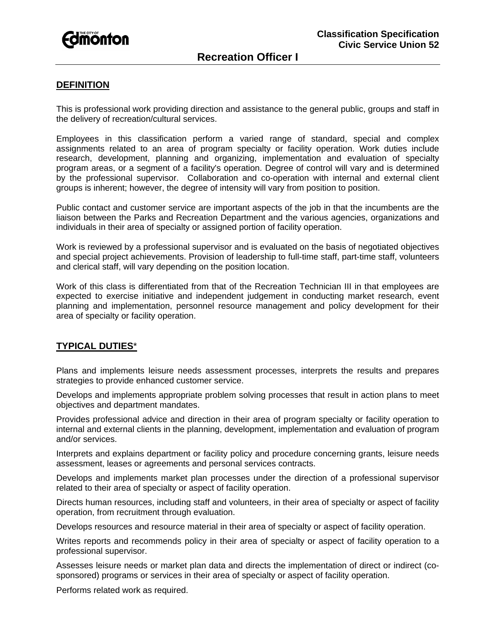

### **DEFINITION**

This is professional work providing direction and assistance to the general public, groups and staff in the delivery of recreation/cultural services.

Employees in this classification perform a varied range of standard, special and complex assignments related to an area of program specialty or facility operation. Work duties include research, development, planning and organizing, implementation and evaluation of specialty program areas, or a segment of a facility's operation. Degree of control will vary and is determined by the professional supervisor. Collaboration and co-operation with internal and external client groups is inherent; however, the degree of intensity will vary from position to position.

Public contact and customer service are important aspects of the job in that the incumbents are the liaison between the Parks and Recreation Department and the various agencies, organizations and individuals in their area of specialty or assigned portion of facility operation.

Work is reviewed by a professional supervisor and is evaluated on the basis of negotiated objectives and special project achievements. Provision of leadership to full-time staff, part-time staff, volunteers and clerical staff, will vary depending on the position location.

Work of this class is differentiated from that of the Recreation Technician III in that employees are expected to exercise initiative and independent judgement in conducting market research, event planning and implementation, personnel resource management and policy development for their area of specialty or facility operation.

# **TYPICAL DUTIES**\*

Plans and implements leisure needs assessment processes, interprets the results and prepares strategies to provide enhanced customer service.

Develops and implements appropriate problem solving processes that result in action plans to meet objectives and department mandates.

Provides professional advice and direction in their area of program specialty or facility operation to internal and external clients in the planning, development, implementation and evaluation of program and/or services.

Interprets and explains department or facility policy and procedure concerning grants, leisure needs assessment, leases or agreements and personal services contracts.

Develops and implements market plan processes under the direction of a professional supervisor related to their area of specialty or aspect of facility operation.

Directs human resources, including staff and volunteers, in their area of specialty or aspect of facility operation, from recruitment through evaluation.

Develops resources and resource material in their area of specialty or aspect of facility operation.

Writes reports and recommends policy in their area of specialty or aspect of facility operation to a professional supervisor.

Assesses leisure needs or market plan data and directs the implementation of direct or indirect (cosponsored) programs or services in their area of specialty or aspect of facility operation.

Performs related work as required.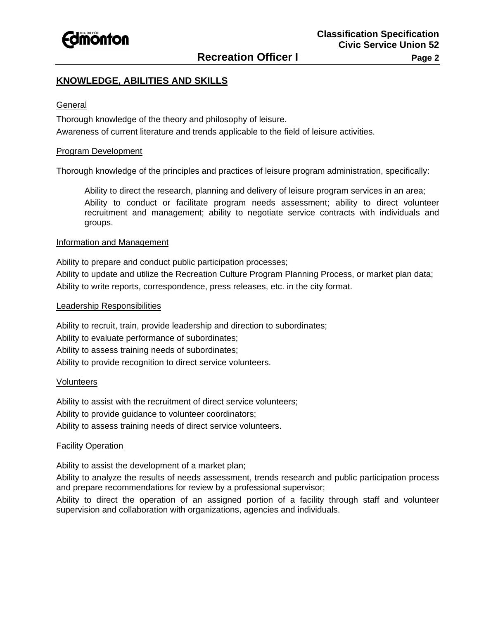

## **KNOWLEDGE, ABILITIES AND SKILLS**

#### **General**

Thorough knowledge of the theory and philosophy of leisure. Awareness of current literature and trends applicable to the field of leisure activities.

#### Program Development

Thorough knowledge of the principles and practices of leisure program administration, specifically:

Ability to direct the research, planning and delivery of leisure program services in an area; Ability to conduct or facilitate program needs assessment; ability to direct volunteer recruitment and management; ability to negotiate service contracts with individuals and groups.

### Information and Management

Ability to prepare and conduct public participation processes;

Ability to update and utilize the Recreation Culture Program Planning Process, or market plan data; Ability to write reports, correspondence, press releases, etc. in the city format.

#### Leadership Responsibilities

Ability to recruit, train, provide leadership and direction to subordinates; Ability to evaluate performance of subordinates; Ability to assess training needs of subordinates; Ability to provide recognition to direct service volunteers.

#### **Volunteers**

Ability to assist with the recruitment of direct service volunteers; Ability to provide guidance to volunteer coordinators; Ability to assess training needs of direct service volunteers.

#### **Facility Operation**

Ability to assist the development of a market plan;

Ability to analyze the results of needs assessment, trends research and public participation process and prepare recommendations for review by a professional supervisor;

Ability to direct the operation of an assigned portion of a facility through staff and volunteer supervision and collaboration with organizations, agencies and individuals.